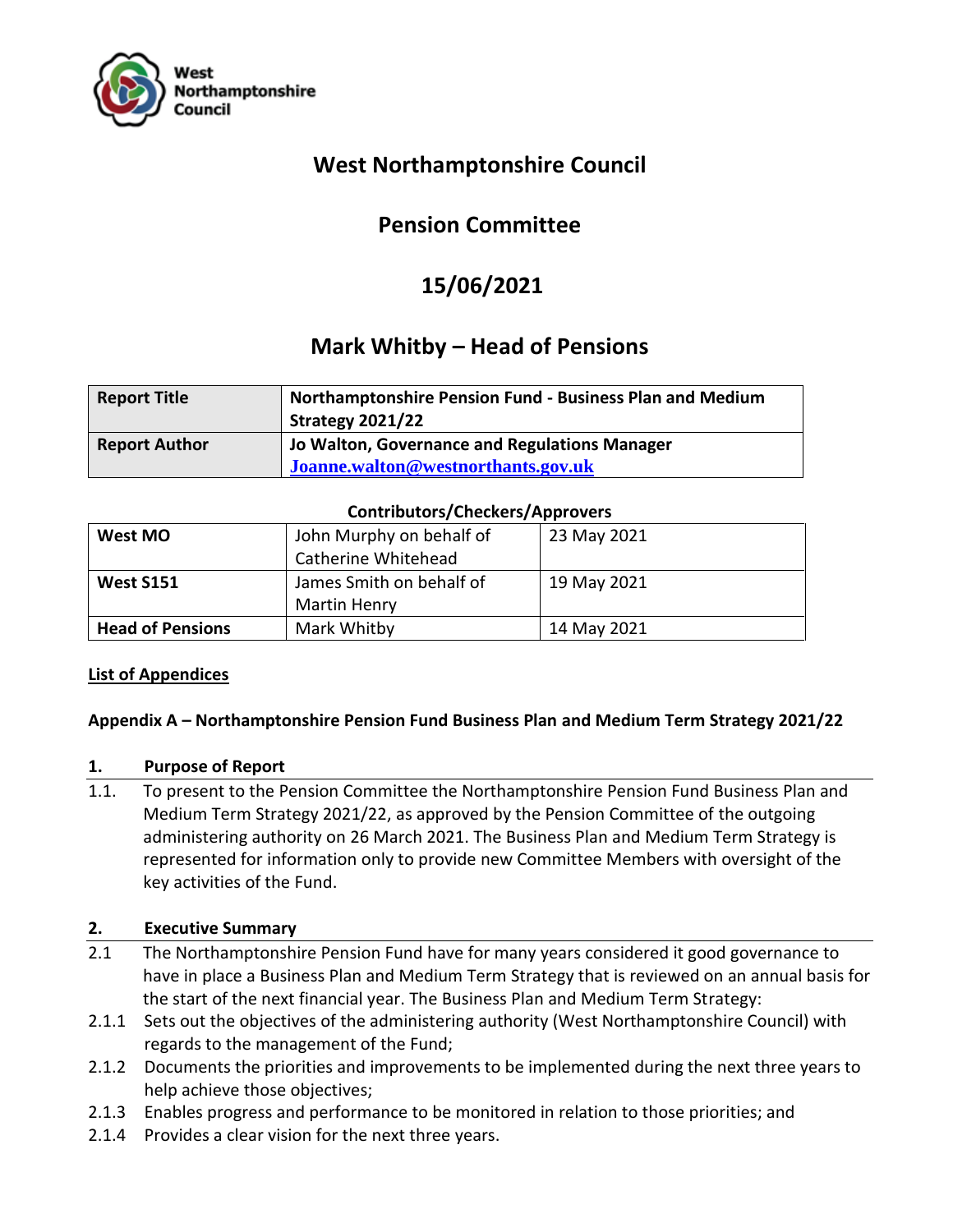

# **West Northamptonshire Council**

# **Pension Committee**

# **15/06/2021**

# **Mark Whitby – Head of Pensions**

| <b>Report Title</b>  | <b>Northamptonshire Pension Fund - Business Plan and Medium</b><br><b>Strategy 2021/22</b> |
|----------------------|--------------------------------------------------------------------------------------------|
| <b>Report Author</b> | Jo Walton, Governance and Regulations Manager<br>Joanne.walton@westnorthants.gov.uk        |

## **Contributors/Checkers/Approvers**

| West MO                 | John Murphy on behalf of | 23 May 2021 |
|-------------------------|--------------------------|-------------|
|                         | Catherine Whitehead      |             |
| <b>West S151</b>        | James Smith on behalf of | 19 May 2021 |
|                         | <b>Martin Henry</b>      |             |
| <b>Head of Pensions</b> | Mark Whitby              | 14 May 2021 |

# **List of Appendices**

# **Appendix A – Northamptonshire Pension Fund Business Plan and Medium Term Strategy 2021/22**

#### **1. Purpose of Report**

1.1. To present to the Pension Committee the Northamptonshire Pension Fund Business Plan and Medium Term Strategy 2021/22, as approved by the Pension Committee of the outgoing administering authority on 26 March 2021. The Business Plan and Medium Term Strategy is represented for information only to provide new Committee Members with oversight of the key activities of the Fund.

# **2. Executive Summary**

- 2.1 The Northamptonshire Pension Fund have for many years considered it good governance to have in place a Business Plan and Medium Term Strategy that is reviewed on an annual basis for the start of the next financial year. The Business Plan and Medium Term Strategy:
- 2.1.1 Sets out the objectives of the administering authority (West Northamptonshire Council) with regards to the management of the Fund;
- 2.1.2 Documents the priorities and improvements to be implemented during the next three years to help achieve those objectives;
- 2.1.3 Enables progress and performance to be monitored in relation to those priorities; and
- 2.1.4 Provides a clear vision for the next three years.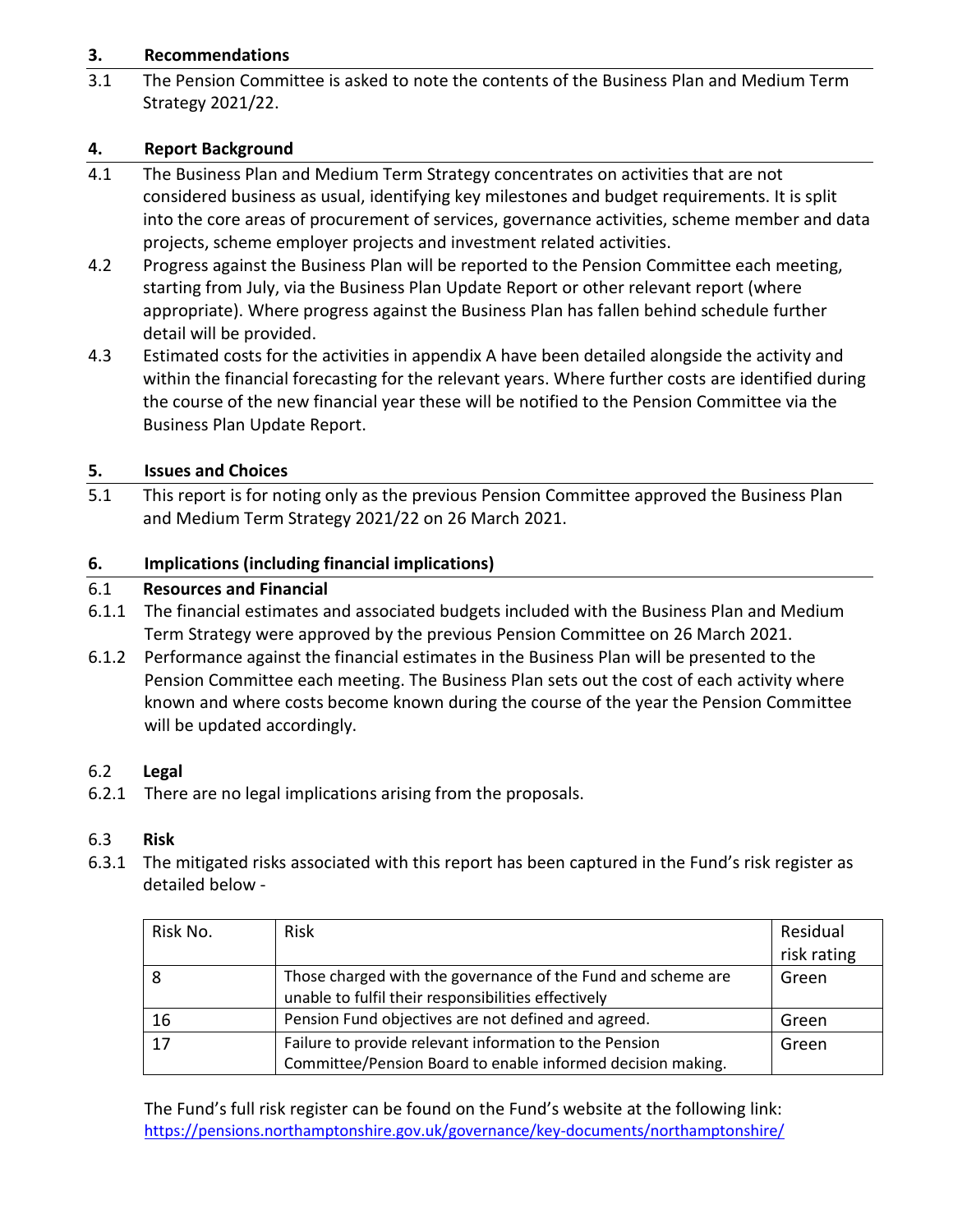# **3. Recommendations**

3.1 The Pension Committee is asked to note the contents of the Business Plan and Medium Term Strategy 2021/22.

# **4. Report Background**

- 4.1 The Business Plan and Medium Term Strategy concentrates on activities that are not considered business as usual, identifying key milestones and budget requirements. It is split into the core areas of procurement of services, governance activities, scheme member and data projects, scheme employer projects and investment related activities.
- 4.2 Progress against the Business Plan will be reported to the Pension Committee each meeting, starting from July, via the Business Plan Update Report or other relevant report (where appropriate). Where progress against the Business Plan has fallen behind schedule further detail will be provided.
- 4.3 Estimated costs for the activities in appendix A have been detailed alongside the activity and within the financial forecasting for the relevant years. Where further costs are identified during the course of the new financial year these will be notified to the Pension Committee via the Business Plan Update Report.

## **5. Issues and Choices**

5.1 This report is for noting only as the previous Pension Committee approved the Business Plan and Medium Term Strategy 2021/22 on 26 March 2021.

## **6. Implications (including financial implications)**

## 6.1 **Resources and Financial**

- 6.1.1 The financial estimates and associated budgets included with the Business Plan and Medium Term Strategy were approved by the previous Pension Committee on 26 March 2021.
- 6.1.2 Performance against the financial estimates in the Business Plan will be presented to the Pension Committee each meeting. The Business Plan sets out the cost of each activity where known and where costs become known during the course of the year the Pension Committee will be updated accordingly.

#### 6.2 **Legal**

6.2.1 There are no legal implications arising from the proposals.

#### 6.3 **Risk**

6.3.1 The mitigated risks associated with this report has been captured in the Fund's risk register as detailed below -

| Risk No. | <b>Risk</b>                                                  | Residual    |
|----------|--------------------------------------------------------------|-------------|
|          |                                                              | risk rating |
|          | Those charged with the governance of the Fund and scheme are | Green       |
|          | unable to fulfil their responsibilities effectively          |             |
| 16       | Pension Fund objectives are not defined and agreed.          | Green       |
| 17       | Failure to provide relevant information to the Pension       | Green       |
|          | Committee/Pension Board to enable informed decision making.  |             |

The Fund's full risk register can be found on the Fund's website at the following link: <https://pensions.northamptonshire.gov.uk/governance/key-documents/northamptonshire/>